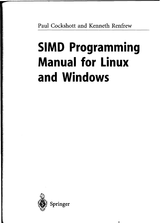Paul Cockshott and Kenneth Renfrew

# **SIMD Programming Manual for Linux and Windows**

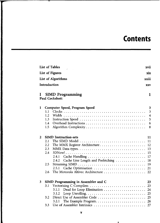# **Contents**

|              |                                    | <b>List of Tables</b><br>xvii                                                            |  |  |  |  |  |
|--------------|------------------------------------|------------------------------------------------------------------------------------------|--|--|--|--|--|
|              | <b>List of Figures</b><br>xix      |                                                                                          |  |  |  |  |  |
|              | <b>List of Algorithms</b><br>xxiii |                                                                                          |  |  |  |  |  |
|              | Introduction                       | <b>XXV</b>                                                                               |  |  |  |  |  |
|              |                                    |                                                                                          |  |  |  |  |  |
| L            |                                    | <b>SIMD Programming</b><br>1<br>Paul Cockshott                                           |  |  |  |  |  |
| 1            |                                    | Computer Speed, Program Speed<br>3                                                       |  |  |  |  |  |
|              | 1.1                                | 3                                                                                        |  |  |  |  |  |
|              | 1.2                                | $\overline{\mathbf{4}}$                                                                  |  |  |  |  |  |
|              | 1.3                                | 5                                                                                        |  |  |  |  |  |
|              | 1.4                                | 6                                                                                        |  |  |  |  |  |
|              | 1.5                                | Algorithm Complexity<br>8                                                                |  |  |  |  |  |
| $\mathbf{z}$ |                                    | <b>SIMD Instruction-sets</b><br>11                                                       |  |  |  |  |  |
|              | 2.1                                | The SIMD Model $\dots\dots\dots\dots\dots\dots\dots\dots\dots\dots\dots\dots\dots$<br>11 |  |  |  |  |  |
|              | 2.2                                | The MMX Register Architecture<br>12                                                      |  |  |  |  |  |
|              | 2.3                                | 13                                                                                       |  |  |  |  |  |
|              | 2.4                                | 15                                                                                       |  |  |  |  |  |
|              |                                    | 17<br>2.4.1                                                                              |  |  |  |  |  |
|              |                                    | Cache Line Length and Prefetching<br>18<br>2.4.2                                         |  |  |  |  |  |
|              | 2.5                                | 19                                                                                       |  |  |  |  |  |
|              |                                    | Cache Optimisation<br>21<br>2.5.1                                                        |  |  |  |  |  |
|              | 2.6                                | 22                                                                                       |  |  |  |  |  |
| 3            |                                    | SIMD Programming in Assembler and C<br>23                                                |  |  |  |  |  |
|              | 3.1                                | 23                                                                                       |  |  |  |  |  |
|              |                                    | Dead for Loop Elimination<br>3.1.1<br>24                                                 |  |  |  |  |  |
|              |                                    | 25<br>3.1.2                                                                              |  |  |  |  |  |
|              | 3.2                                | Direct Use of Assembler Code<br>25                                                       |  |  |  |  |  |
|              |                                    | 3.2.1<br>26                                                                              |  |  |  |  |  |
|              | 3.3                                | Use of Assembler Intrinsics<br>27                                                        |  |  |  |  |  |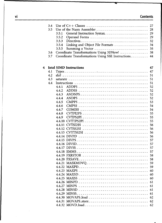| ۷Ì | <b>Contents</b> |
|----|-----------------|
|    |                 |

|   | 3.4<br>3.5<br>3.6<br>3.7 | 27<br>Use of the Nasm Assembler<br>28<br>29<br>3.5.1<br>3.5.2<br>29<br>32<br>3.5.3<br>3.5.4<br>Linking and Object File Formats<br>34<br>3.5.5<br>35<br>Coordinate Transformations Using 3DNow!<br>38<br>Coordinate Transformations Using SSE Instructions.<br>44 |  |
|---|--------------------------|------------------------------------------------------------------------------------------------------------------------------------------------------------------------------------------------------------------------------------------------------------------|--|
| 4 |                          | <b>Intel SIMD Instructions</b><br>47                                                                                                                                                                                                                             |  |
|   | 4.1                      | 47                                                                                                                                                                                                                                                               |  |
|   | 4.2                      | 51                                                                                                                                                                                                                                                               |  |
|   | 4.3                      | 51<br>saturate $\ldots \ldots \ldots \ldots \ldots \ldots \ldots \ldots \ldots \ldots \ldots$                                                                                                                                                                    |  |
|   | 4.4                      | 51                                                                                                                                                                                                                                                               |  |
|   |                          | 4.4.1<br>52                                                                                                                                                                                                                                                      |  |
|   |                          | 52<br>4.4.2<br><b>ADDSS</b>                                                                                                                                                                                                                                      |  |
|   |                          | 4.4.3<br>52                                                                                                                                                                                                                                                      |  |
|   |                          | 4.4.4<br>52                                                                                                                                                                                                                                                      |  |
|   |                          | 4.4.5<br>53                                                                                                                                                                                                                                                      |  |
|   |                          | 4.4.6<br>54                                                                                                                                                                                                                                                      |  |
|   |                          | 4.4.7<br>54                                                                                                                                                                                                                                                      |  |
|   |                          | 4.4.8                                                                                                                                                                                                                                                            |  |
|   |                          | 55                                                                                                                                                                                                                                                               |  |
|   |                          | 4.4.9<br>55                                                                                                                                                                                                                                                      |  |
|   |                          | 55                                                                                                                                                                                                                                                               |  |
|   |                          | 56                                                                                                                                                                                                                                                               |  |
|   |                          | 56                                                                                                                                                                                                                                                               |  |
|   |                          | 4.4.13 CVTTSS2SI<br>56                                                                                                                                                                                                                                           |  |
|   |                          | 56                                                                                                                                                                                                                                                               |  |
|   |                          | 57                                                                                                                                                                                                                                                               |  |
|   |                          | 57                                                                                                                                                                                                                                                               |  |
|   |                          | 57                                                                                                                                                                                                                                                               |  |
|   |                          | 57                                                                                                                                                                                                                                                               |  |
|   |                          | 58                                                                                                                                                                                                                                                               |  |
|   |                          | 58                                                                                                                                                                                                                                                               |  |
|   |                          | 4.4.21 MASKMOVQ<br>59                                                                                                                                                                                                                                            |  |
|   |                          | 59                                                                                                                                                                                                                                                               |  |
|   |                          | 4423 MAXPS<br>60                                                                                                                                                                                                                                                 |  |
|   |                          | 4.4.24 MAXSD<br>60                                                                                                                                                                                                                                               |  |
|   |                          | 60                                                                                                                                                                                                                                                               |  |
|   |                          | 61                                                                                                                                                                                                                                                               |  |
|   |                          | 61                                                                                                                                                                                                                                                               |  |
|   |                          | 61                                                                                                                                                                                                                                                               |  |
|   |                          | 61                                                                                                                                                                                                                                                               |  |
|   |                          | -62                                                                                                                                                                                                                                                              |  |
|   |                          |                                                                                                                                                                                                                                                                  |  |
|   |                          |                                                                                                                                                                                                                                                                  |  |
|   |                          |                                                                                                                                                                                                                                                                  |  |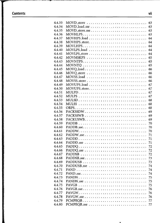# **Contents vii**

| 4.4.33 |                                                                                    | 63 |
|--------|------------------------------------------------------------------------------------|----|
| 4.4.34 |                                                                                    | 63 |
| 4.4.35 | MOVD_store_sse                                                                     | 63 |
| 4.4.36 |                                                                                    | 63 |
| 4.4.37 |                                                                                    | 64 |
| 4.4.38 | MOVHPS_store                                                                       | 64 |
| 4.4.39 |                                                                                    | 64 |
| 4.4.40 |                                                                                    | 64 |
| 4.4.41 |                                                                                    | 64 |
| 4.4.42 |                                                                                    | 65 |
| 4.4.43 |                                                                                    | 65 |
| 4.4.44 |                                                                                    | 65 |
| 4.4.45 | MOVQ_load                                                                          | 66 |
| 4.4.46 |                                                                                    | 66 |
| 4.4.47 |                                                                                    | 66 |
| 4.4.48 |                                                                                    | 66 |
| 4.4.49 |                                                                                    | 67 |
| 4.4.50 | MOVUPS_store                                                                       | 67 |
| 4.4.51 | MULPD                                                                              | 67 |
| 4.4.52 |                                                                                    | 67 |
| 4.4.53 |                                                                                    | 68 |
| 4.4.54 |                                                                                    | 68 |
| 4.4.55 |                                                                                    | 68 |
| 4.4.56 | PACKSSDW                                                                           | 69 |
| 4.4.57 |                                                                                    | 69 |
| 4.4.58 |                                                                                    | 69 |
| 4.4.59 |                                                                                    | 70 |
| 4.4.60 |                                                                                    | 70 |
| 4.4.61 |                                                                                    | 70 |
| 4.4.62 | PADDW_sse                                                                          | 71 |
| 4.4.63 |                                                                                    | 71 |
| 4.4.64 |                                                                                    | 71 |
| 4.4.65 |                                                                                    | 72 |
| 4.4.66 |                                                                                    | 72 |
| 4.4.67 |                                                                                    | 72 |
| 4.4.68 |                                                                                    | 73 |
| 4.4.69 | PADDUSB                                                                            | 73 |
| 4.4.70 |                                                                                    | 74 |
| 4.4.71 |                                                                                    | 74 |
| 4.4.72 |                                                                                    | 74 |
| 4.4.73 |                                                                                    | 75 |
| 4.4.74 | $PANDN\_sse \ldots \ldots \ldots \ldots \ldots \ldots \ldots \ldots \ldots \ldots$ | 75 |
| 4.4.75 |                                                                                    | 75 |
| 4.4.76 |                                                                                    | 76 |
| 4.4.77 |                                                                                    | 76 |
| 4.4.78 |                                                                                    | 76 |
| 4.4.79 |                                                                                    | 77 |
| 4.4.80 |                                                                                    | 77 |
|        |                                                                                    |    |

 $\bullet$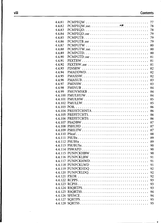# **viii Contents**

 $\bullet$ 

| 4.4.81  |                                                                                       |  |  |  |  | 77 |
|---------|---------------------------------------------------------------------------------------|--|--|--|--|----|
| 4.4.82  |                                                                                       |  |  |  |  | 78 |
| 4.4.83  |                                                                                       |  |  |  |  | 78 |
| 4.4.84  |                                                                                       |  |  |  |  | 79 |
| 4.4.85  | PCMPGTB                                                                               |  |  |  |  | 79 |
| 4.4.86  |                                                                                       |  |  |  |  | 79 |
| 4.4.87  | PCMPGTW                                                                               |  |  |  |  | 80 |
| 4.4.88  | PCMPGTW_sse                                                                           |  |  |  |  | 80 |
| 4.4.89  |                                                                                       |  |  |  |  | 80 |
| 4.4.90  |                                                                                       |  |  |  |  | 81 |
| 4.4.91  |                                                                                       |  |  |  |  | 81 |
| 4.4.92  |                                                                                       |  |  |  |  | 81 |
| 4.4.93  |                                                                                       |  |  |  |  | 82 |
| 4.4.94  | PMADDWD                                                                               |  |  |  |  | 82 |
| 4.4.95  |                                                                                       |  |  |  |  | 82 |
| 4.4.96  |                                                                                       |  |  |  |  | 83 |
| 4.4.97  | PMINSW                                                                                |  |  |  |  |    |
| 4.4.98  |                                                                                       |  |  |  |  | 83 |
|         |                                                                                       |  |  |  |  | 84 |
| 4.4.99  |                                                                                       |  |  |  |  | 84 |
| 4.4.100 | PMULHUW                                                                               |  |  |  |  | 84 |
| 4.4.101 | PMULHW                                                                                |  |  |  |  | 85 |
| 4.4.102 |                                                                                       |  |  |  |  | 85 |
| 4.4.103 |                                                                                       |  |  |  |  | 86 |
|         | 4.4.104 PREFETCHNTA                                                                   |  |  |  |  | 86 |
| 4.4.105 |                                                                                       |  |  |  |  | 86 |
|         |                                                                                       |  |  |  |  | 86 |
|         |                                                                                       |  |  |  |  | 87 |
|         |                                                                                       |  |  |  |  | 87 |
|         |                                                                                       |  |  |  |  | 87 |
|         |                                                                                       |  |  |  |  | 88 |
| 4.4.111 |                                                                                       |  |  |  |  | 89 |
| 4.4.112 | $PSUBSx \ldots \ldots \ldots \ldots \ldots \ldots \ldots \ldots \ldots \ldots \ldots$ |  |  |  |  | 89 |
| 4.4.113 |                                                                                       |  |  |  |  | 90 |
| 4.4.114 |                                                                                       |  |  |  |  | 90 |
| 4.4.115 |                                                                                       |  |  |  |  | 90 |
| 4.4.116 |                                                                                       |  |  |  |  | 91 |
| 4.4.117 | PUNPCKHWD                                                                             |  |  |  |  | 91 |
| 4.4.118 |                                                                                       |  |  |  |  | 91 |
| 4.4.119 |                                                                                       |  |  |  |  | 92 |
|         | 4.4.120 PUNPCKLDQ                                                                     |  |  |  |  | 92 |
|         |                                                                                       |  |  |  |  | 92 |
|         |                                                                                       |  |  |  |  | 93 |
|         |                                                                                       |  |  |  |  | 93 |
|         |                                                                                       |  |  |  |  | 93 |
|         |                                                                                       |  |  |  |  | 94 |
|         | 4.4.126 SFENCE                                                                        |  |  |  |  | 94 |
|         |                                                                                       |  |  |  |  | 95 |
|         |                                                                                       |  |  |  |  | 95 |
|         |                                                                                       |  |  |  |  |    |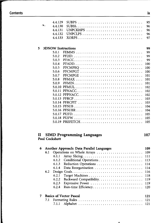and a basic of a community of the state of the

**Collective** 

in all province of the company

|   |                       | 4.4.129               |                                                                                             | 95         |
|---|-----------------------|-----------------------|---------------------------------------------------------------------------------------------|------------|
|   | $\mathcal{P}_\lambda$ | 4.4.130               |                                                                                             | 96         |
|   |                       | 4.4.131               |                                                                                             | 96         |
|   |                       | 4.4.132               | UNPCLPS                                                                                     | 96         |
|   |                       | 4.4.133               | XORPS                                                                                       | 97         |
|   |                       |                       |                                                                                             |            |
| 5 |                       |                       | <b>3DNOW Instructions</b>                                                                   | 99         |
|   |                       | 5.0.1                 |                                                                                             | 99         |
|   |                       | 5.0.2                 |                                                                                             | 99         |
|   |                       | 5.0.3                 |                                                                                             | 99         |
|   |                       | 5.0.4                 | PFADD                                                                                       | 100        |
|   |                       | 5.0.5                 |                                                                                             | 100        |
|   |                       | 5.0.6                 |                                                                                             | 100        |
|   |                       | 5.0.7                 |                                                                                             | 101        |
|   |                       | 5.0.8                 |                                                                                             | 101        |
|   |                       | 5.0.9                 |                                                                                             | 101        |
|   |                       |                       |                                                                                             | 102        |
|   |                       |                       |                                                                                             |            |
|   |                       |                       |                                                                                             | 102        |
|   |                       |                       | 5.0.12 PFPNACC                                                                              | 102        |
|   |                       |                       |                                                                                             | 103        |
|   |                       |                       |                                                                                             | 103        |
|   |                       |                       |                                                                                             | 104        |
|   |                       |                       |                                                                                             | 104        |
|   |                       |                       |                                                                                             | 105        |
|   |                       |                       |                                                                                             | 105        |
|   |                       |                       |                                                                                             | 105        |
|   |                       |                       |                                                                                             |            |
|   |                       |                       |                                                                                             |            |
| П |                       | <b>Paul Cockshott</b> | <b>SIMD Programming Languages</b>                                                           | 107        |
|   |                       |                       |                                                                                             |            |
| 6 |                       |                       | Another Approach: Data Parallel Languages                                                   | 109        |
|   | 6.1                   |                       | Operations on Whole Arrays                                                                  | 109        |
|   |                       | 6.1.1                 |                                                                                             | 111        |
|   |                       | 6.1.2                 |                                                                                             | 113        |
|   |                       | 6.1.3                 |                                                                                             | 114        |
|   |                       | 6.1.4                 |                                                                                             | 114        |
|   |                       |                       |                                                                                             |            |
|   | 6.2                   | 6.2.1                 | $Design \,\,Goals.\,\ldots.\,\ldots.\,\ldots.\,\ldots.\,\ldots.\,\ldots.\,\ldots.\,\ldots.$ | 116        |
|   |                       | 6.2.2                 |                                                                                             | 118        |
|   |                       |                       |                                                                                             | 119        |
|   |                       | 6.2.3                 | Expressive Power                                                                            | 119        |
|   |                       | 6.2.4                 |                                                                                             | 120        |
| 7 |                       |                       |                                                                                             |            |
|   |                       |                       |                                                                                             |            |
|   |                       |                       | <b>Basics of Vector Pascal</b>                                                              | 121        |
|   | 7.1                   | 7.1.1                 |                                                                                             | 121<br>121 |

 $\bullet$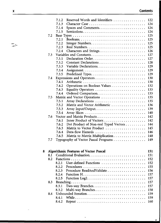# **Contents**

|     | 7.1.2 | Reserved Words and Identifiers        | 122 |
|-----|-------|---------------------------------------|-----|
|     | 7.1.3 | Character Case                        | 124 |
|     | 7.1.4 |                                       | 124 |
|     | 7.1.5 |                                       | 124 |
| 7.2 |       |                                       | 125 |
|     | 7.2.1 |                                       | 125 |
|     | 7.2.2 | Integer Numbers                       | 125 |
|     | 7.2.3 |                                       | 125 |
|     | 7.2.4 |                                       | 126 |
| 7.3 |       | Variables and Constants               | 127 |
|     | 7.3.1 |                                       | 127 |
|     | 7.3.2 |                                       | 128 |
|     | 7.3.3 |                                       | 129 |
|     | 7.3.4 |                                       | 129 |
|     | 7.3.5 |                                       | 129 |
| 7.4 |       |                                       | 130 |
|     | 7.4.1 |                                       | 130 |
|     | 7.4.2 | Operations on Boolean Values          | 132 |
|     | 7.4.3 |                                       | 133 |
|     | 7.4.4 |                                       | 133 |
| 7.5 |       |                                       | 135 |
|     | 7.5.1 | Matrix and Vector Operations          | 135 |
|     | 7.5.2 | Matrix and Vector Arithmetic          | 136 |
|     | 7.5.3 |                                       | 139 |
|     | 7.5.4 |                                       | 140 |
| 7.6 |       |                                       | 142 |
|     |       |                                       | 142 |
|     | 7.6.1 | Inner Product of Vectors              |     |
|     | 7.6.2 | Dot Product of Non-real Typed Vectors | 144 |
|     | 7.6.3 | Matrix to Vector Product              | 145 |
|     | 7.6.4 |                                       | 146 |
|     | 7.6.5 | Matrix to Matrix Multiplication       | 148 |
| 7.7 |       | Typography of Vector Pascal Programs  | 149 |
|     |       |                                       |     |
|     |       | Algorithmic Features of Vector Pascal | 151 |
| 8.1 |       |                                       | 151 |
| 8.2 |       |                                       | 152 |
|     | 8.2.1 | User-defined Functions                | 152 |
|     | 8.2.2 |                                       | 155 |
|     | 8.2.3 |                                       | 156 |
|     | 8.2.4 |                                       | 157 |
|     | 8.2.5 |                                       | 157 |
| 8.3 |       |                                       | 157 |
|     | 8.3.1 |                                       | 157 |
|     | 8.3.2 |                                       | 158 |
| 8.4 |       |                                       | 159 |
|     | 8.4.1 |                                       | 159 |
|     | 8.4.2 |                                       | 160 |
|     |       |                                       |     |

.

ستنقذ

 $\bf{8}$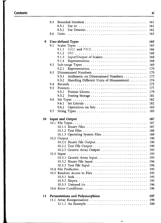#### **Contents xi**

|    | 8.5 |                                                  | 161 |
|----|-----|--------------------------------------------------|-----|
|    |     | 8.5.1                                            | 161 |
|    |     | 8.5.2                                            | 162 |
|    | 8.6 |                                                  | 163 |
|    |     |                                                  |     |
| 9  |     | <b>User-defined Types</b>                        | 165 |
|    | 9.1 |                                                  | 165 |
|    |     | 9.1.1                                            | 166 |
|    |     | 9.1.2                                            | 168 |
|    |     | 9.1.3                                            | 168 |
|    |     | 9.1.4                                            | 168 |
|    | 9.2 |                                                  | 169 |
|    |     |                                                  |     |
|    |     | 9.2.1                                            | 170 |
|    | 9.3 |                                                  | 170 |
|    |     | Arithmetic on Dimensioned Numbers<br>9.3.1       | 173 |
|    |     | Handling Different Units of Measurement<br>9.3.2 | 174 |
|    | 9.4 |                                                  | 175 |
|    | 9.5 |                                                  | 177 |
|    |     | 9.5.1                                            | 179 |
|    |     | 9.5.2                                            | 181 |
|    | 9.6 |                                                  | 182 |
|    |     | 9.6.1                                            | 182 |
|    |     | 9.6.2<br>Operations on Sets                      | 183 |
|    | 9.7 |                                                  | 183 |
|    |     |                                                  |     |
|    |     |                                                  |     |
| 10 |     | <b>Input and Output</b>                          | 187 |
|    |     |                                                  | 187 |
|    |     |                                                  | 187 |
|    |     |                                                  |     |
|    |     |                                                  | 188 |
|    |     |                                                  | 188 |
|    |     |                                                  | 190 |
|    |     |                                                  | 190 |
|    |     |                                                  | 190 |
|    |     | 10.2.3 Generic Array Output                      | 193 |
|    |     |                                                  | 193 |
|    |     |                                                  | 193 |
|    |     |                                                  | 194 |
|    |     | 10.3.3 Text File Input                           | 194 |
|    |     |                                                  | 195 |
|    |     |                                                  | 195 |
|    |     |                                                  | 195 |
|    |     |                                                  | 195 |
|    |     |                                                  | 196 |
|    |     |                                                  | 196 |
|    |     |                                                  |     |
| 11 |     | Permutations and Polymorphism                    | 197 |
|    |     |                                                  | 198 |
|    |     |                                                  | 200 |

 $\pmb{\psi}$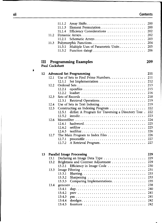# **xii Contents**

|    | 11.2<br>11.3          | 11.1.2<br>Array Shifts<br>11.1.3<br>11.1.4<br>11.2.1<br>Multiple Uses of Parametric Units<br>11.3.1<br>11.3.2 | 200<br>200<br>202<br>202<br>203<br>204<br>205<br>206 |
|----|-----------------------|---------------------------------------------------------------------------------------------------------------|------------------------------------------------------|
| Ш  | <b>Paul Cockshott</b> | <b>Programming Examples</b>                                                                                   | 209                                                  |
| 12 |                       | <b>Advanced Set Programming</b>                                                                               | 211                                                  |
|    | 12.1                  | Use of Sets to Find Prime Numbers.                                                                            | 211                                                  |
|    |                       | 12.1.1                                                                                                        | 212                                                  |
|    | 12.2                  |                                                                                                               | 213                                                  |
|    |                       | 12.2.1                                                                                                        | 215                                                  |
|    |                       | $loadset$<br>12.2.2                                                                                           | 216                                                  |
|    | 12.3                  |                                                                                                               | 218                                                  |
|    |                       | Retrieval Operations<br>12.3.1                                                                                | 219                                                  |
|    | 12.4                  | Use of Sets in Text Indexing                                                                                  | 219                                                  |
|    | 12.5                  | Constructing an Indexing Program                                                                              | 222                                                  |
|    |                       | dirlist: A Program for Traversing a Directory Tree.<br>12.5.1                                                 | 222                                                  |
|    |                       | 12.5.2                                                                                                        | 223                                                  |
|    | 12.6                  |                                                                                                               | 224                                                  |
|    |                       | 12.6.1                                                                                                        | 225                                                  |
|    |                       | 12.6.2                                                                                                        | 225                                                  |
|    |                       | 12.6.3                                                                                                        | 226                                                  |
|    | 12.7                  |                                                                                                               | 226                                                  |
|    |                       | 12.7.1                                                                                                        | 227                                                  |
|    |                       | 12.7.2<br>A Retrieval Program                                                                                 | 227                                                  |
| 13 |                       | <b>Parallel Image Processing</b>                                                                              | 229                                                  |
|    | 13.1                  | Declaring an Image Data Type                                                                                  | 229                                                  |
|    | 13.2                  | Brightness and Contrast Adjustment                                                                            | 229                                                  |
|    |                       | Efficiency in Image Code<br>13.2.1                                                                            | 230                                                  |
|    | 13.3                  |                                                                                                               | 231                                                  |
|    |                       | 13.3.1                                                                                                        | 233                                                  |
|    |                       | $13.3.2$ Sharpening                                                                                           | 233                                                  |

|      | 13.3.3 Comparing Implementations 235 |  |
|------|--------------------------------------|--|
| 13.4 |                                      |  |
|      |                                      |  |
|      |                                      |  |
|      |                                      |  |
|      |                                      |  |
|      |                                      |  |
|      |                                      |  |

**t**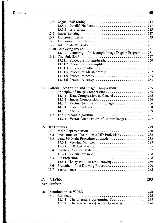**L\_**

|               | 13.5               |                                                    | 242 |
|---------------|--------------------|----------------------------------------------------|-----|
|               |                    | Parallel Half-tone<br>13.5.1                       | 244 |
|               |                    | 13.5.2                                             | 245 |
|               | 13.6               |                                                    | 247 |
|               | 13.7               |                                                    | 249 |
|               | 13.8               |                                                    | 251 |
|               | 13.9               |                                                    | 251 |
|               | 13.10              |                                                    | 251 |
|               |                    | 13.10.1 demoimg - An Example Image Display Program | 251 |
|               |                    |                                                    | 257 |
|               |                    | 13.11.1 Procedure initbmpheader                    | 260 |
|               |                    | 13.11.2 Procedure storebmpfile                     | 261 |
|               |                    |                                                    | 261 |
|               |                    |                                                    | 262 |
|               |                    | 13.11.4 Procedure adjustcontrast                   |     |
|               |                    | 13.11.5 Procedure pconv                            | 263 |
|               |                    | 13.11.6 Procedure convp                            | 264 |
|               |                    |                                                    |     |
| 14            |                    | Pattern Recognition and Image Compression          | 265 |
|               | 14.1               | Principles of Image Compression                    | 265 |
|               |                    | Data Compression in General<br>14.1.1              | 265 |
|               |                    | 14.1.2                                             | 266 |
|               |                    | Vector Quantisation of Images<br>14.1.3            | 266 |
|               |                    | 14.1.4                                             | 268 |
|               |                    | 14.1.5                                             | 269 |
|               | 14.2               |                                                    | 271 |
|               |                    | Vector Quantisation of Colour Images<br>14.2.1     | 277 |
|               |                    |                                                    |     |
| 15            |                    | 3D Graphics                                        | 279 |
|               | 15.1               | Mesh Representation                                | 280 |
|               | 15.2               | linedemo: An Illustration of 3D Projection.        | 282 |
|               | 15.3               | demo3d: Main Procedure of linedemo                 | 283 |
|               |                    | 15.3.1                                             | 283 |
|               |                    | SDL Initialisation<br>15.3.2                       | 285 |
|               | 15.4               | Create a Rotation Matrix                           | 287 |
|               |                    | 15.4.1                                             | 288 |
|               | 15.5               |                                                    | 288 |
|               |                    | Entry Point to Line Drawing<br>15.5.1              | 289 |
|               | 15.6               | Bresenham Line Drawing Procedure.                  | 290 |
|               | 15.7               | Performance                                        | 292 |
|               |                    |                                                    |     |
|               |                    |                                                    |     |
| $\mathbf{IV}$ | <b>VIPER</b>       |                                                    | 293 |
|               | <b>Ken Renfrew</b> |                                                    |     |
|               |                    |                                                    |     |
| 16            |                    | <b>Introduction to VIPER</b>                       | 295 |
|               | 16.1               | Rationale<br>.                                     | 295 |
|               |                    | The Literate Programming Tool<br>16.1.1            | 295 |
|               |                    | The Mathematical Syntax Converter<br>16.1.2        | 296 |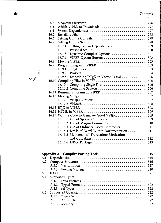# **xiv Contents**

| 16.2 |                                               | 296 |
|------|-----------------------------------------------|-----|
| 16.3 | Which VIPER to Download?                      | 297 |
| 16.4 |                                               | 297 |
| 16.5 |                                               | 298 |
| 16.6 |                                               | 298 |
| 16.7 |                                               | 298 |
|      | 16.7.1<br>Setting System Dependencies.        | 299 |
|      | 16.7.2                                        | 300 |
|      | Dynamic Compiler Options<br>16.7.3            | 301 |
|      | VIPER Option Buttons<br>16.7.4                | 303 |
| 16.8 |                                               | 303 |
| 16.9 |                                               | 303 |
|      | 16.9.1                                        | 303 |
|      | 16.9.2                                        | 304 |
|      | Embedding IATEX in Vector Pascal<br>16.9.3    | 306 |
|      |                                               | 306 |
|      |                                               | 306 |
|      |                                               | 306 |
|      | 16.11 Running Programs in VIPER               | 307 |
|      |                                               | 307 |
|      | 16.12.1 VPT <sub>F</sub> X Options            | 307 |
|      |                                               | 308 |
|      | 16.13 LATEX in VIPER                          | 308 |
|      |                                               | 309 |
|      | 16.15 Writing Code to Generate Good VPTEX.    | 309 |
|      |                                               | 309 |
|      |                                               | 310 |
|      | 16.15.3 Use of Ordinary Pascal Comments.      | 311 |
|      | 16.15.4 Levels of Detail Within Documentation | 311 |
|      | 16.15.5 Mathematical Translation: Motivation  |     |
|      |                                               |     |
|      |                                               | 313 |
|      |                                               |     |

|     |       | Appendix A Compiler Porting Tools | 315  |
|-----|-------|-----------------------------------|------|
| A.1 |       |                                   |      |
| A.2 |       |                                   |      |
|     | A 2.1 |                                   | 317  |
|     | A.2.2 |                                   | 320  |
| A.3 |       |                                   | 321  |
| A.4 |       |                                   | 321  |
|     | A 4.1 |                                   | -321 |
|     |       | A.4.2 Typed Formats               | 322  |
|     |       |                                   | 322  |
| A.5 |       |                                   | 322  |
|     | A.5.1 |                                   | 322  |
|     | A 5.2 |                                   | 322  |
|     | A.5.3 |                                   |      |